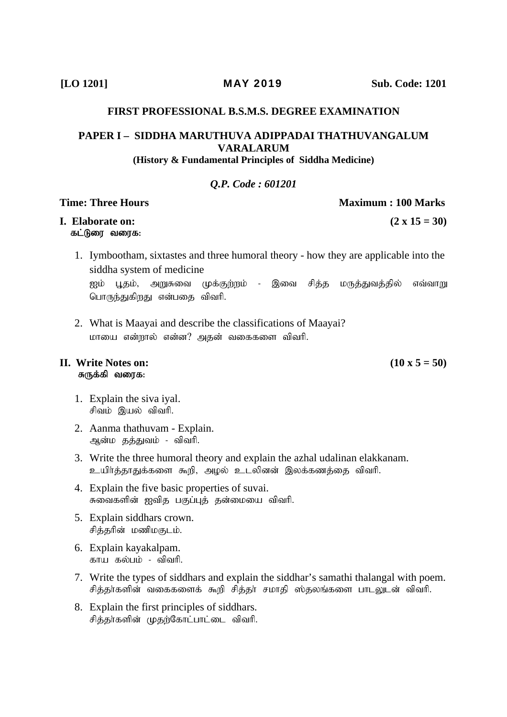### **FIRST PROFESSIONAL B.S.M.S. DEGREE EXAMINATION**

# PAPER I - SIDDHA MARUTHUVA ADIPPADAI THATHUVANGALUM **VARALARUM**

### (History & Fundamental Principles of Siddha Medicine)

### **O.P.** Code: 601201

### **Time: Three Hours**

### **I.** Elaborate on: கட்டுரை வரைக:

- 1. Iymbootham, sixtastes and three humoral theory how they are applicable into the siddha system of medicine ஐம் பூதம், அறுசுவை முக்குற்றம் - இவை சித்த மருத்துவத்தில் எவ்வாறு பொருந்துகிறது என்பதை விவரி.
- 2. What is Maavai and describe the classifications of Maavai? மாயை என்றால் என்ன? அதன் வகைகளை விவரி.

### II. Write Notes on: சுருக்கி வரைக:

- 1. Explain the siva iyal. சிவம் இயல் விவரி.
- 2. Aanma thathuvam Explain. ஆன்ம தத்துவம் - விவரி.
- 3. Write the three humoral theory and explain the azhal udalinan elakkanam. உயிர்த்தாதுக்களை கூறி, அழல் உடலினன் இலக்கணத்தை விவரி.
- 4. Explain the five basic properties of suvai. சுவைகளின் ஐவித பகுப்புத் தன்மையை விவரி.
- 5. Explain siddhars crown. சித்தரின் மணிமகுடம்.
- 6. Explain kayakalpam. காய கல்பம் - விவரி.
- 7. Write the types of siddhars and explain the siddhar's samathi thalangal with poem. சித்தா்களின் வகைகளைக் கூறி சித்தா் சமாதி ஸ்தலங்களை பாடலுடன் விவாி.
- 8. Explain the first principles of siddhars. சித்தா்களின் முதற்கோட்பாட்டை விவரி.

Maximum: 100 Marks

 $(2 \times 15 = 30)$ 

 $(10 \times 5 = 50)$